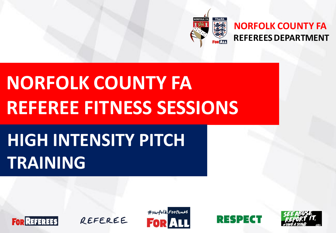

#### **NORFOLK COUNTY FA REFEREES DEPARTMENT**

# **NORFOLK COUNTY FA REFEREE FITNESS SESSIONS**

# **HIGH INTENSITY PITCH TRAINING**







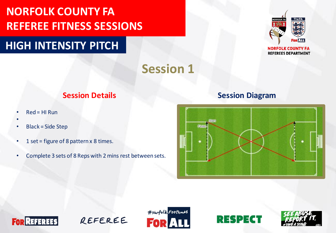### **HIGH INTENSITY PITCH**



**REFEREES DEPARTMENT** 

**Session 1**

- $Red = HI$  Run
- •
- Black = Side Step
- 1 set = figure of 8 pattern x 8 times.
- Complete 3 sets of 8 Reps with 2 mins rest between sets.

#### **Session Details Session Diagram**









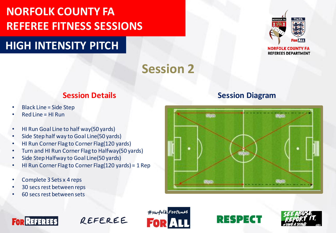### **HIGH INTENSITY PITCH**



**NORFOLK COUNTY FA REFEREES DEPARTMENT** 

# **Session 2**

#### **Session Details Session Diagram**

- Black Line = Side Step
- Red Line = HI Run
- HI Run Goal Line to half way(50 yards)
- Side Step half way to Goal Line(50 yards)
- HI Run Corner Flag to Corner Flag(120 yards)
- Turn and HI Run Corner Flag to Halfway(50 yards)
- Side Step Halfway to Goal Line(50 yards)
- HI Run Corner Flag to Corner Flag(120 yards) = 1 Rep
- Complete 3 Sets x 4 reps
- 30 secs rest between reps
- 60 secs rest between sets

# **ROOF BOXED SOVED**







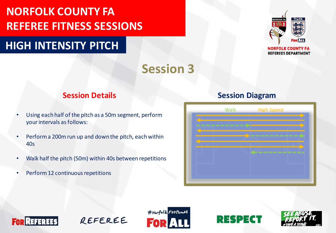### **HIGH INTENSITY PITCH**



**REFEREES DEPARTMENT** 

**Session 3**

- Using each half of the pitch as a 50m segment, perform your intervals as follows:
- Perform a 200m run up and down the pitch, each within 40s
- Walk half the pitch (50m) within 40s between repetitions
- Perform 12 continuous repetitions

#### **Session Details Session Diagram**









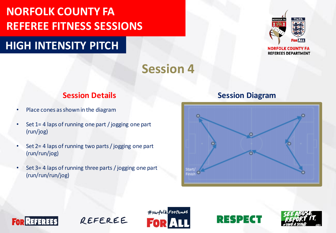### **HIGH INTENSITY PITCH**



**REFEREES DEPARTMENT** 

**Session 4**

- Place cones as shown in the diagram
- Set 1= 4 laps of running one part / jogging one part (run/jog)
- Set  $2=4$  laps of running two parts / jogging one part (run/run/jog)
- Set 3= 4 laps of running three parts / jogging one part (run/run/run/jog)

#### **Session Details Session Diagram**